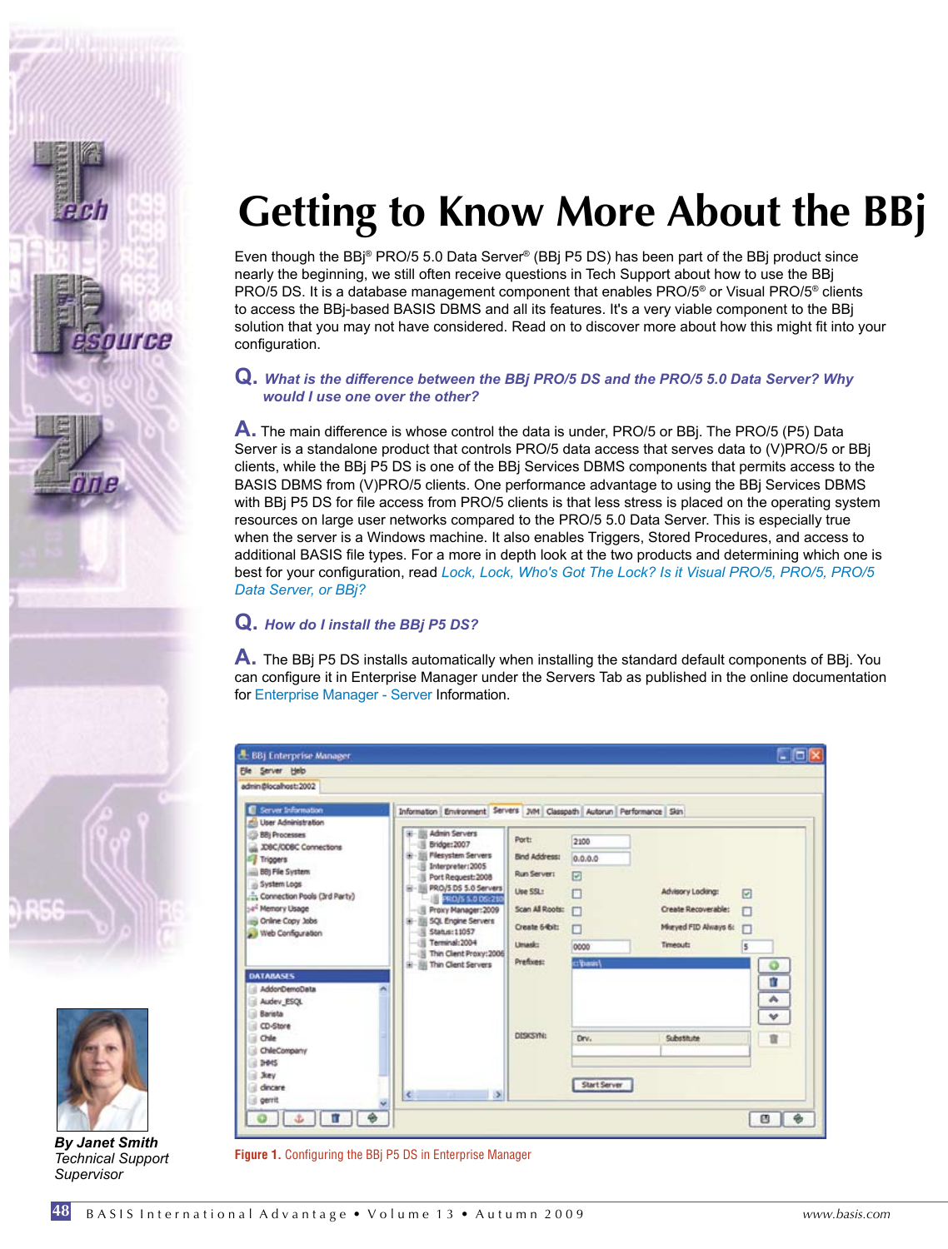



*By Janet Smith Technical Support Supervisor*

**48**

# **Getting to Know More About the BBj**

Even though the BBj® PRO/5 5.0 Data Server® (BBj P5 DS) has been part of the BBj product since nearly the beginning, we still often receive questions in Tech Support about how to use the BBj PRO/5 DS. It is a database management component that enables PRO/5® or Visual PRO/5® clients to access the BBj-based BASIS DBMS and all its features. It's a very viable component to the BBj solution that you may not have considered. Read on to discover more about how this might fit into your configuration.

#### **Q.** *What is the difference between the BBj PRO/5 DS and the PRO/5 5.0 Data Server? Why would I use one over the other?*

**A.** The main difference is whose control the data is under, PRO/5 or BBj. The PRO/5 (P5) Data Server is a standalone product that controls PRO/5 data access that serves data to (V)PRO/5 or BBj clients, while the BBj P5 DS is one of the BBj Services DBMS components that permits access to the BASIS DBMS from (V)PRO/5 clients. One performance advantage to using the BBj Services DBMS with BBj P5 DS for file access from PRO/5 clients is that less stress is placed on the operating system resources on large user networks compared to the PRO/5 5.0 Data Server. This is especially true when the server is a Windows machine. It also enables Triggers, Stored Procedures, and access to additional BASIS file types. For a more in depth look at the two products and determining which one is best for your configuration, read *[Lock, Lock, Who's Got The Lock? Is it Visual PRO/5, PRO/5, PRO/5](http://www.basis.com/advantage/mag-v9n2/trz.pdf)  [Data Server, or BBj?](http://www.basis.com/advantage/mag-v9n2/trz.pdf)*

### **Q.** *How do I install the BBj P5 DS?*

**A.** The BBj P5 DS installs automatically when installing the standard default components of BBj. You can configure it in Enterprise Manager under the Servers Tab as published in the online documentation for [Enterprise Manager - Server In](http://www.basis.com/onlinedocs/documentation/index.htm#<id=21)formation.

| admin@localhost:2002                                                                                                                                                                                                                                                                                                                                                                                                                                                                                                                                                                                                                                                                                                       |                                                                                                                        |                                                               |                                                                             |                             |
|----------------------------------------------------------------------------------------------------------------------------------------------------------------------------------------------------------------------------------------------------------------------------------------------------------------------------------------------------------------------------------------------------------------------------------------------------------------------------------------------------------------------------------------------------------------------------------------------------------------------------------------------------------------------------------------------------------------------------|------------------------------------------------------------------------------------------------------------------------|---------------------------------------------------------------|-----------------------------------------------------------------------------|-----------------------------|
| Server Information<br>Information Environment Servers JWH Classpath Autorun Performance Skin<br>G<br>User Administration<br><b>Admin Servers</b><br>BBj Processes<br>Bridge: 2007<br><b>JDBC/ODBC Connections</b><br><b>Plesystem Servers</b><br>⊷<br><b>Figgers</b><br>Interpreter: 2005<br><b>BB) File System</b><br>Port Request: 2008<br>in System Logs<br>PRO/5 DS 5.0 Servers<br>m.<br>Connection Pools (3rd Party)<br>$-100$<br>PRO/5 5.0 DS:210<br>54 <sup>4</sup> Memory Usage<br>Proxy Manager: 2009<br>Online Copy Jobs<br><b>SQL Engine Servers</b><br>Status: 11057<br>Web Configuration<br>Terminal: 2004<br>Thin Client Proxy: 2006<br>Thin Client Servers<br>$9 - 39$<br><b>DATABASES</b><br>AddonDemoData | Port:<br><b>Bind Address:</b><br>Run Server:<br>Lise SSL:<br>Scan All Roots:<br>Create 64bit:<br>Linuxic:<br>Prefixes: | 2100<br>0.0.0.0<br>$\Box$<br>п<br>п<br>п<br>0000<br>c: basis! | Advisory Lodang:<br>Create Recoverable:<br>Maryed FID Always 6:<br>Timeout: | 同<br>п<br>5<br>O<br>n,<br>٨ |
| Audev_ESQL<br>Barista<br>CD-Store<br>st<br>Chile<br>n)<br>ChileCompany<br>1È<br>al Devis<br><b>Joey</b><br>al dincare<br>$\epsilon$<br>d gerrit                                                                                                                                                                                                                                                                                                                                                                                                                                                                                                                                                                            | <b>DISCSYN:</b><br>S.                                                                                                  | Drv.<br>Start Server                                          | Substitute                                                                  | v<br>1                      |

**Figure 1.** Configuring the BBj P5 DS in Enterprise Manager